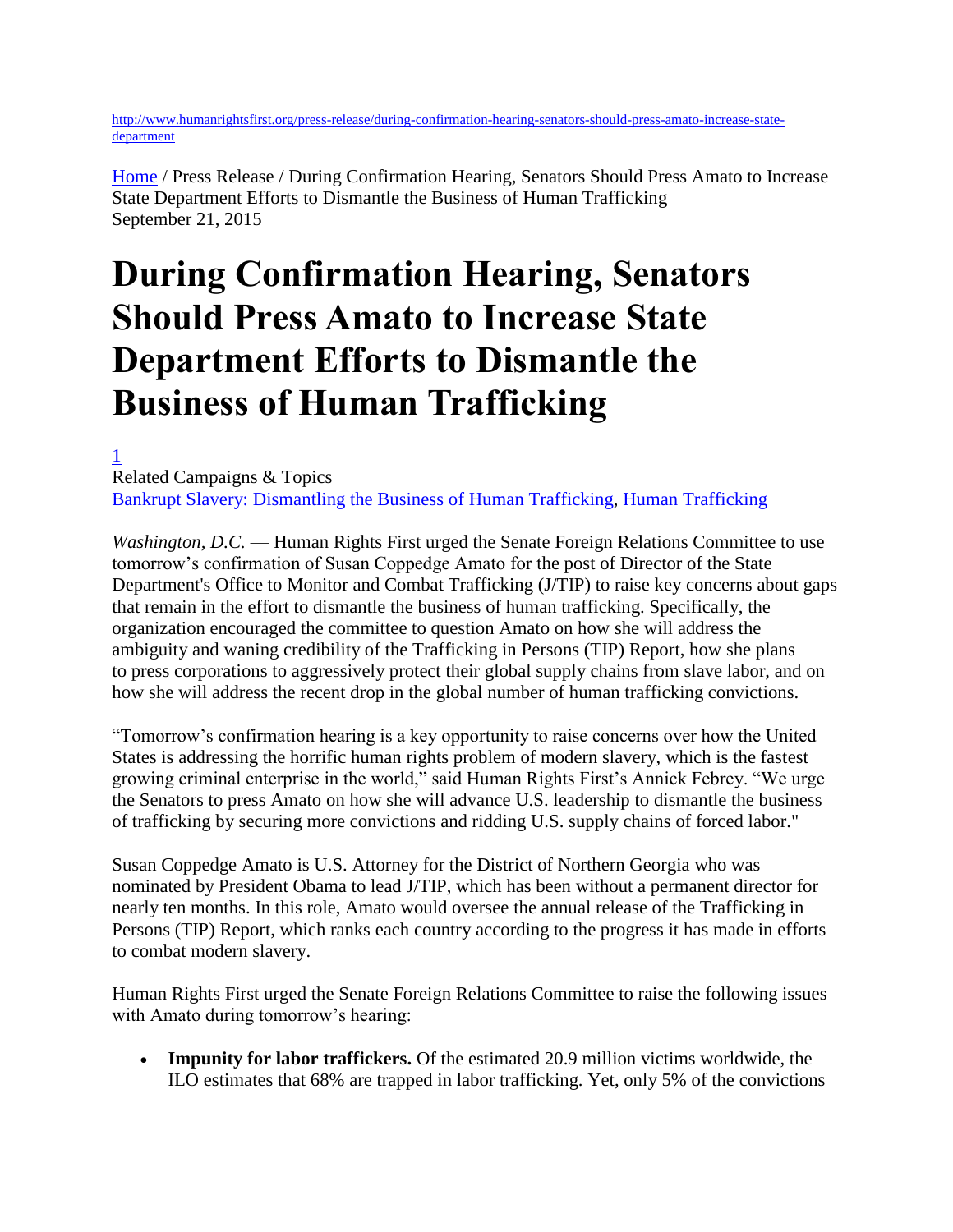[http://www.humanrightsfirst.org/press-release/during-confirmation-hearing-senators-should-press-amato-increase-state](http://www.humanrightsfirst.org/press-release/during-confirmation-hearing-senators-should-press-amato-increase-state-department)[department](http://www.humanrightsfirst.org/press-release/during-confirmation-hearing-senators-should-press-amato-increase-state-department)

[Home](http://www.humanrightsfirst.org/) / Press Release / During Confirmation Hearing, Senators Should Press Amato to Increase State Department Efforts to Dismantle the Business of Human Trafficking September 21, 2015

## **During Confirmation Hearing, Senators Should Press Amato to Increase State Department Efforts to Dismantle the Business of Human Trafficking**

[1](http://www.humanrightsfirst.org/press-release/during-confirmation-hearing-senators-should-press-amato-increase-state-department) Related Campaigns & Topics [Bankrupt Slavery: Dismantling the Business of Human Trafficking,](http://www.humanrightsfirst.org/campaigns/bankrupt-slavery) [Human Trafficking](http://www.humanrightsfirst.org/topics/human-trafficking)

*Washington, D.C.* — Human Rights First urged the Senate Foreign Relations Committee to use tomorrow's confirmation of Susan Coppedge Amato for the post of Director of the State Department's Office to Monitor and Combat Trafficking (J/TIP) to raise key concerns about gaps that remain in the effort to dismantle the business of human trafficking. Specifically, the organization encouraged the committee to question Amato on how she will address the ambiguity and waning credibility of the Trafficking in Persons (TIP) Report, how she plans to press corporations to aggressively protect their global supply chains from slave labor, and on how she will address the recent drop in the global number of human trafficking convictions.

"Tomorrow's confirmation hearing is a key opportunity to raise concerns over how the United States is addressing the horrific human rights problem of modern slavery, which is the fastest growing criminal enterprise in the world," said Human Rights First's Annick Febrey. "We urge the Senators to press Amato on how she will advance U.S. leadership to dismantle the business of trafficking by securing more convictions and ridding U.S. supply chains of forced labor."

Susan Coppedge Amato is U.S. Attorney for the District of Northern Georgia who was nominated by President Obama to lead J/TIP, which has been without a permanent director for nearly ten months. In this role, Amato would oversee the annual release of the Trafficking in Persons (TIP) Report, which ranks each country according to the progress it has made in efforts to combat modern slavery.

Human Rights First urged the Senate Foreign Relations Committee to raise the following issues with Amato during tomorrow's hearing:

 **Impunity for labor traffickers.** Of the estimated 20.9 million victims worldwide, the ILO estimates that 68% are trapped in labor trafficking. Yet, only 5% of the convictions